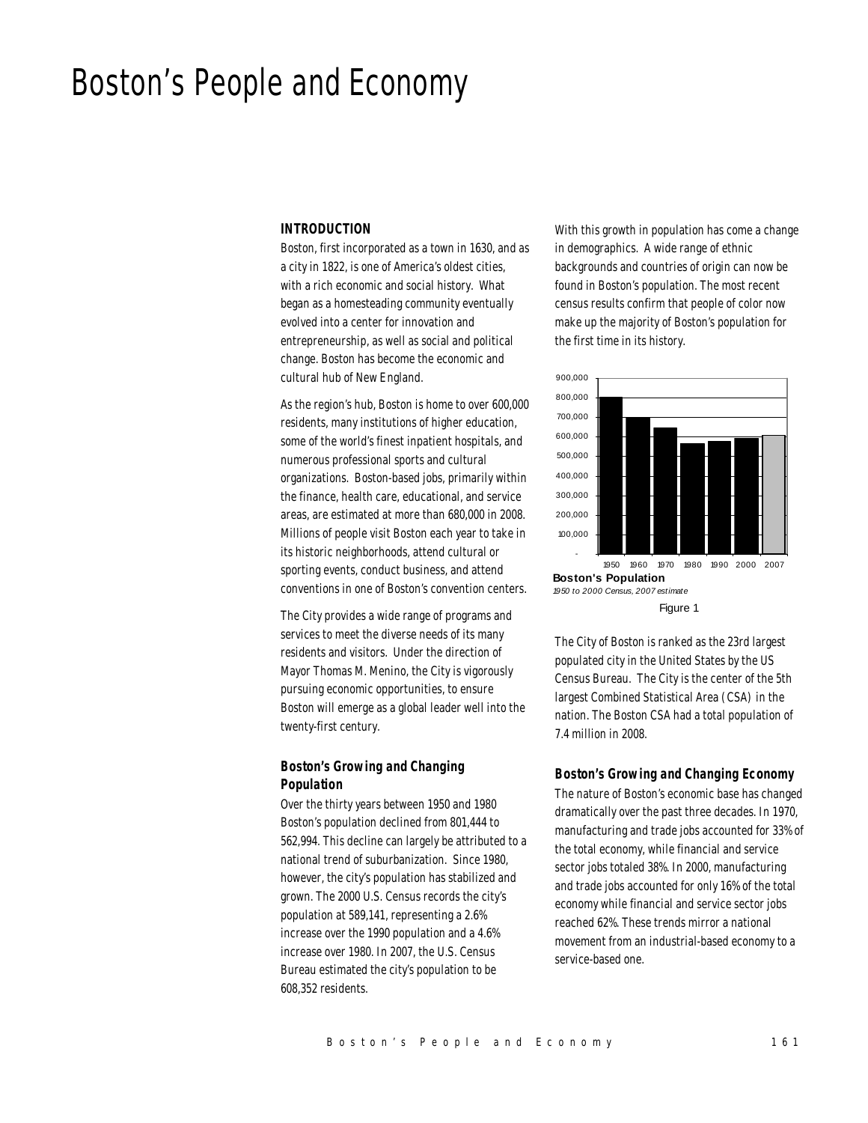# Boston's People and Economy

### *INTRODUCTION*

Boston, first incorporated as a town in 1630, and as a city in 1822, is one of America's oldest cities, with a rich economic and social history. What began as a homesteading community eventually evolved into a center for innovation and entrepreneurship, as well as social and political change. Boston has become the economic and cultural hub of New England.

As the region's hub, Boston is home to over 600,000 residents, many institutions of higher education, some of the world's finest inpatient hospitals, and numerous professional sports and cultural organizations. Boston-based jobs, primarily within the finance, health care, educational, and service areas, are estimated at more than 680,000 in 2008. Millions of people visit Boston each year to take in its historic neighborhoods, attend cultural or sporting events, conduct business, and attend conventions in one of Boston's convention centers.

The City provides a wide range of programs and services to meet the diverse needs of its many residents and visitors. Under the direction of Mayor Thomas M. Menino, the City is vigorously pursuing economic opportunities, to ensure Boston will emerge as a global leader well into the twenty-first century.

## *Boston's Growing and Changing Population*

Over the thirty years between 1950 and 1980 Boston's population declined from 801,444 to 562,994. This decline can largely be attributed to a national trend of suburbanization. Since 1980, however, the city's population has stabilized and grown. The 2000 U.S. Census records the city's population at 589,141, representing a 2.6% increase over the 1990 population and a 4.6% increase over 1980. In 2007, the U.S. Census Bureau estimated the city's population to be 608,352 residents.

With this growth in population has come a change in demographics. A wide range of ethnic backgrounds and countries of origin can now be found in Boston's population. The most recent census results confirm that people of color now make up the majority of Boston's population for the first time in its history.



The City of Boston is ranked as the 23rd largest populated city in the United States by the US Census Bureau. The City is the center of the 5th largest Combined Statistical Area (CSA) in the nation. The Boston CSA had a total population of 7.4 million in 2008.

#### *Boston's Growing and Changing Economy*

The nature of Boston's economic base has changed dramatically over the past three decades. In 1970, manufacturing and trade jobs accounted for 33% of the total economy, while financial and service sector jobs totaled 38%. In 2000, manufacturing and trade jobs accounted for only 16% of the total economy while financial and service sector jobs reached 62%. These trends mirror a national movement from an industrial-based economy to a service-based one.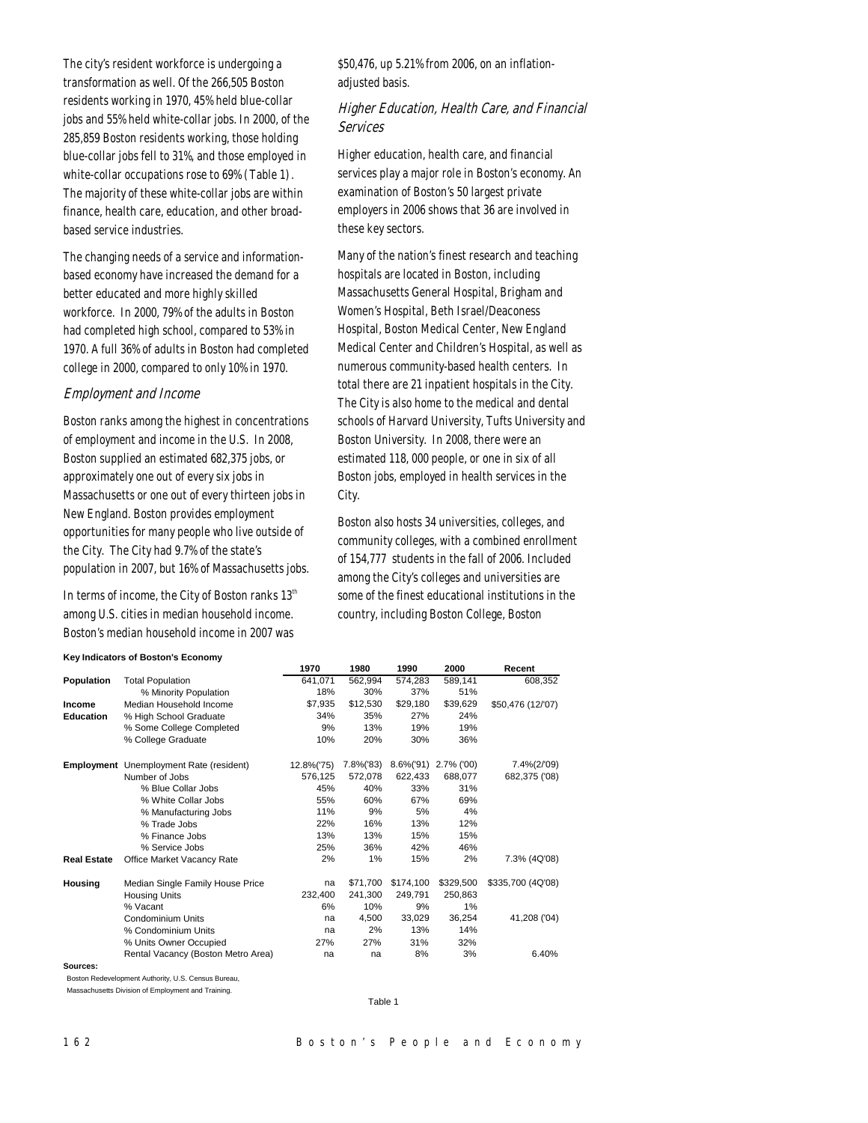The city's resident workforce is undergoing a transformation as well. Of the 266,505 Boston residents working in 1970, 45% held blue-collar jobs and 55% held white-collar jobs. In 2000, of the 285,859 Boston residents working, those holding blue-collar jobs fell to 31%, and those employed in white-collar occupations rose to 69% (Table 1). The majority of these white-collar jobs are within finance, health care, education, and other broadbased service industries.

The changing needs of a service and informationbased economy have increased the demand for a better educated and more highly skilled workforce. In 2000, 79% of the adults in Boston had completed high school, compared to 53% in 1970. A full 36% of adults in Boston had completed college in 2000, compared to only 10% in 1970.

#### Employment and Income

Boston ranks among the highest in concentrations of employment and income in the U.S. In 2008, Boston supplied an estimated 682,375 jobs, or approximately one out of every six jobs in Massachusetts or one out of every thirteen jobs in New England. Boston provides employment opportunities for many people who live outside of the City. The City had 9.7% of the state's population in 2007, but 16% of Massachusetts jobs.

In terms of income, the City of Boston ranks  $13<sup>th</sup>$ among U.S. cities in median household income. Boston's median household income in 2007 was

\$50,476, up 5.21% from 2006, on an inflationadjusted basis.

## Higher Education, Health Care, and Financial Services

Higher education, health care, and financial services play a major role in Boston's economy. An examination of Boston's 50 largest private employers in 2006 shows that 36 are involved in these key sectors.

Many of the nation's finest research and teaching hospitals are located in Boston, including Massachusetts General Hospital, Brigham and Women's Hospital, Beth Israel/Deaconess Hospital, Boston Medical Center, New England Medical Center and Children's Hospital, as well as numerous community-based health centers. In total there are 21 inpatient hospitals in the City. The City is also home to the medical and dental schools of Harvard University, Tufts University and Boston University. In 2008, there were an estimated 118, 000 people, or one in six of all Boston jobs, employed in health services in the City.

Boston also hosts 34 universities, colleges, and community colleges, with a combined enrollment of 154,777 students in the fall of 2006. Included among the City's colleges and universities are some of the finest educational institutions in the country, including Boston College, Boston

#### **Key Indicators of Boston's Economy**

|                    |                                                | 1970       | 1980      | 1990          | 2000       | Recent            |
|--------------------|------------------------------------------------|------------|-----------|---------------|------------|-------------------|
| Population         | <b>Total Population</b>                        | 641,071    | 562,994   | 574,283       | 589,141    | 608,352           |
|                    | % Minority Population                          | 18%        | 30%       | 37%           | 51%        |                   |
| Income             | Median Household Income                        | \$7,935    | \$12,530  | \$29,180      | \$39,629   | \$50,476 (12/'07) |
| <b>Education</b>   | % High School Graduate                         | 34%        | 35%       | 27%           | 24%        |                   |
|                    | % Some College Completed                       | 9%         | 13%       | 19%           | 19%        |                   |
|                    | % College Graduate                             | 10%        | 20%       | 30%           | 36%        |                   |
|                    | <b>Employment</b> Unemployment Rate (resident) | 12.8%('75) | 7.8%('83) | $8.6\%$ ('91) | 2.7% ('00) | 7.4%(2/'09)       |
|                    | Number of Jobs                                 | 576,125    | 572,078   | 622,433       | 688,077    | 682,375 ('08)     |
|                    | % Blue Collar Jobs                             | 45%        | 40%       | 33%           | 31%        |                   |
|                    | % White Collar Jobs                            | 55%        | 60%       | 67%           | 69%        |                   |
|                    | % Manufacturing Jobs                           | 11%        | 9%        | 5%            | 4%         |                   |
|                    | % Trade Jobs                                   | 22%        | 16%       | 13%           | 12%        |                   |
|                    | % Finance Jobs                                 | 13%        | 13%       | 15%           | 15%        |                   |
|                    | % Service Jobs                                 | 25%        | 36%       | 42%           | 46%        |                   |
| <b>Real Estate</b> | Office Market Vacancy Rate                     | 2%         | 1%        | 15%           | 2%         | 7.3% (4Q'08)      |
| Housing            | Median Single Family House Price               | na         | \$71.700  | \$174,100     | \$329,500  | \$335,700 (4Q'08) |
|                    | <b>Housing Units</b>                           | 232,400    | 241.300   | 249,791       | 250,863    |                   |
|                    | % Vacant                                       | 6%         | 10%       | 9%            | 1%         |                   |
|                    | <b>Condominium Units</b>                       | na         | 4,500     | 33,029        | 36,254     | 41,208 ('04)      |
|                    | % Condominium Units                            | na         | 2%        | 13%           | 14%        |                   |
|                    | % Units Owner Occupied                         | 27%        | 27%       | 31%           | 32%        |                   |
|                    | Rental Vacancy (Boston Metro Area)             | na         | na        | 8%            | 3%         | 6.40%             |
| Sources:           |                                                |            |           |               |            |                   |

Boston Redevelopment Authority, U.S. Census Bureau,

Massachusetts Division of Employment and Training.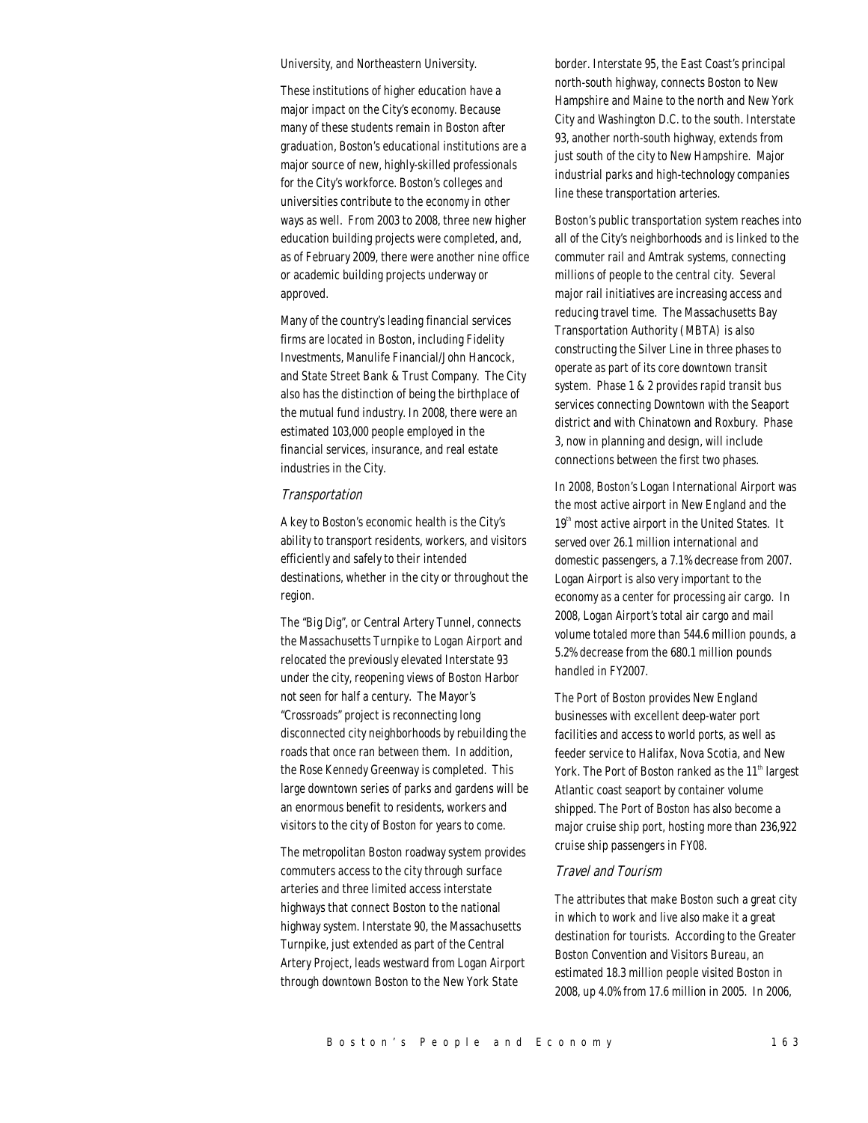University, and Northeastern University.

These institutions of higher education have a major impact on the City's economy. Because many of these students remain in Boston after graduation, Boston's educational institutions are a major source of new, highly-skilled professionals for the City's workforce. Boston's colleges and universities contribute to the economy in other ways as well. From 2003 to 2008, three new higher education building projects were completed, and, as of February 2009, there were another nine office or academic building projects underway or approved.

Many of the country's leading financial services firms are located in Boston, including Fidelity Investments, Manulife Financial/John Hancock, and State Street Bank & Trust Company. The City also has the distinction of being the birthplace of the mutual fund industry. In 2008, there were an estimated 103,000 people employed in the financial services, insurance, and real estate industries in the City.

#### Transportation

A key to Boston's economic health is the City's ability to transport residents, workers, and visitors efficiently and safely to their intended destinations, whether in the city or throughout the region.

The "Big Dig", or Central Artery Tunnel, connects the Massachusetts Turnpike to Logan Airport and relocated the previously elevated Interstate 93 under the city, reopening views of Boston Harbor not seen for half a century. The Mayor's "Crossroads" project is reconnecting long disconnected city neighborhoods by rebuilding the roads that once ran between them. In addition, the Rose Kennedy Greenway is completed. This large downtown series of parks and gardens will be an enormous benefit to residents, workers and visitors to the city of Boston for years to come.

The metropolitan Boston roadway system provides commuters access to the city through surface arteries and three limited access interstate highways that connect Boston to the national highway system. Interstate 90, the Massachusetts Turnpike, just extended as part of the Central Artery Project, leads westward from Logan Airport through downtown Boston to the New York State

border. Interstate 95, the East Coast's principal north-south highway, connects Boston to New Hampshire and Maine to the north and New York City and Washington D.C. to the south. Interstate 93, another north-south highway, extends from just south of the city to New Hampshire. Major industrial parks and high-technology companies line these transportation arteries.

Boston's public transportation system reaches into all of the City's neighborhoods and is linked to the commuter rail and Amtrak systems, connecting millions of people to the central city. Several major rail initiatives are increasing access and reducing travel time. The Massachusetts Bay Transportation Authority (MBTA) is also constructing the Silver Line in three phases to operate as part of its core downtown transit system. Phase 1 & 2 provides rapid transit bus services connecting Downtown with the Seaport district and with Chinatown and Roxbury. Phase 3, now in planning and design, will include connections between the first two phases.

In 2008, Boston's Logan International Airport was the most active airport in New England and the  $19<sup>th</sup>$  most active airport in the United States. It served over 26.1 million international and domestic passengers, a 7.1% decrease from 2007. Logan Airport is also very important to the economy as a center for processing air cargo. In 2008, Logan Airport's total air cargo and mail volume totaled more than 544.6 million pounds, a 5.2% decrease from the 680.1 million pounds handled in FY2007.

The Port of Boston provides New England businesses with excellent deep-water port facilities and access to world ports, as well as feeder service to Halifax, Nova Scotia, and New York. The Port of Boston ranked as the 11<sup>th</sup> largest Atlantic coast seaport by container volume shipped. The Port of Boston has also become a major cruise ship port, hosting more than 236,922 cruise ship passengers in FY08.

#### Travel and Tourism

The attributes that make Boston such a great city in which to work and live also make it a great destination for tourists. According to the Greater Boston Convention and Visitors Bureau, an estimated 18.3 million people visited Boston in 2008, up 4.0% from 17.6 million in 2005. In 2006,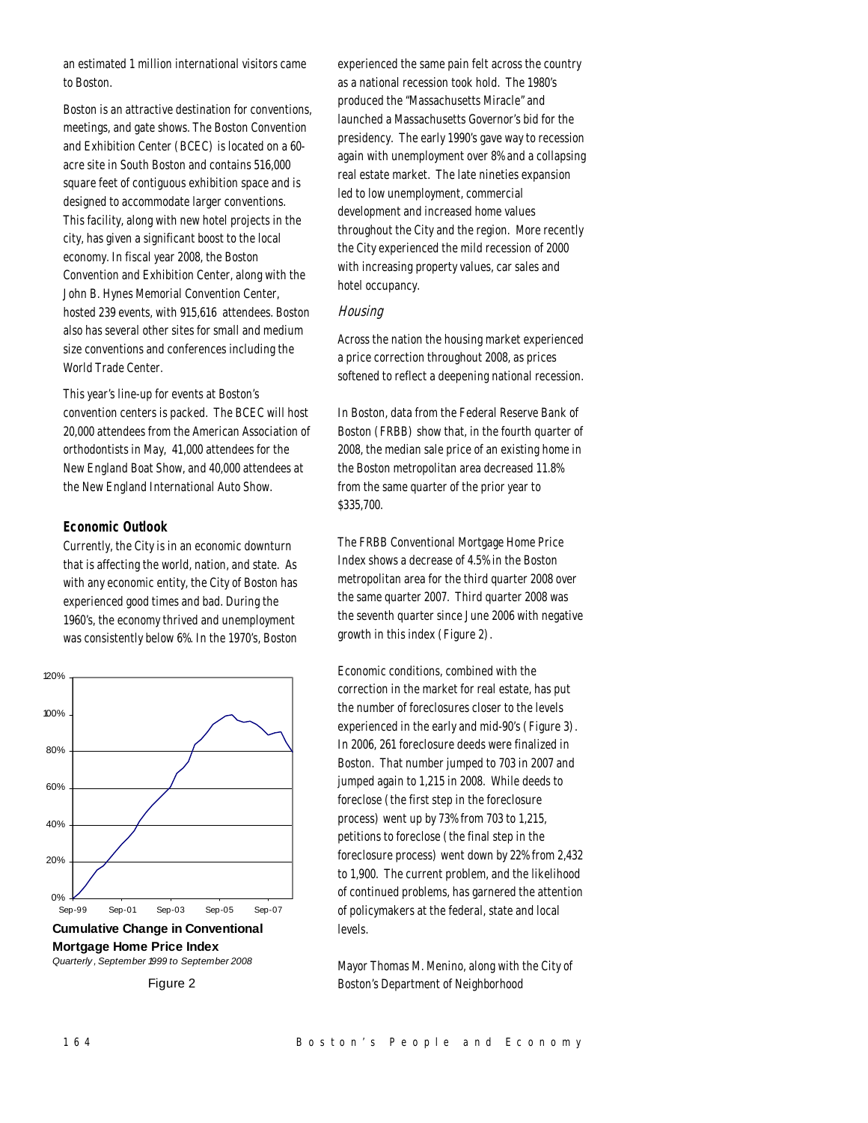an estimated 1 million international visitors came to Boston.

Boston is an attractive destination for conventions, meetings, and gate shows. The Boston Convention and Exhibition Center (BCEC) is located on a 60 acre site in South Boston and contains 516,000 square feet of contiguous exhibition space and is designed to accommodate larger conventions. This facility, along with new hotel projects in the city, has given a significant boost to the local economy. In fiscal year 2008, the Boston Convention and Exhibition Center, along with the John B. Hynes Memorial Convention Center, hosted 239 events, with 915,616 attendees. Boston also has several other sites for small and medium size conventions and conferences including the World Trade Center.

This year's line-up for events at Boston's convention centers is packed. The BCEC will host 20,000 attendees from the American Association of orthodontists in May, 41,000 attendees for the New England Boat Show, and 40,000 attendees at the New England International Auto Show.

## *Economic Outlook*

Currently, the City is in an economic downturn that is affecting the world, nation, and state. As with any economic entity, the City of Boston has experienced good times and bad. During the 1960's, the economy thrived and unemployment was consistently below 6%. In the 1970's, Boston



**Cumulative Change in Conventional Mortgage Home Price Index** *Quarterly , September 1999 to September 2008*

experienced the same pain felt across the country as a national recession took hold. The 1980's produced the "Massachusetts Miracle" and launched a Massachusetts Governor's bid for the presidency. The early 1990's gave way to recession again with unemployment over 8% and a collapsing real estate market. The late nineties expansion led to low unemployment, commercial development and increased home values throughout the City and the region. More recently the City experienced the mild recession of 2000 with increasing property values, car sales and hotel occupancy.

## **Housing**

Across the nation the housing market experienced a price correction throughout 2008, as prices softened to reflect a deepening national recession.

In Boston, data from the Federal Reserve Bank of Boston (FRBB) show that, in the fourth quarter of 2008, the median sale price of an existing home in the Boston metropolitan area decreased 11.8% from the same quarter of the prior year to \$335,700.

The FRBB Conventional Mortgage Home Price Index shows a decrease of 4.5% in the Boston metropolitan area for the third quarter 2008 over the same quarter 2007. Third quarter 2008 was the seventh quarter since June 2006 with negative growth in this index (Figure 2).

Economic conditions, combined with the correction in the market for real estate, has put the number of foreclosures closer to the levels experienced in the early and mid-90's (Figure 3). In 2006, 261 foreclosure deeds were finalized in Boston. That number jumped to 703 in 2007 and jumped again to 1,215 in 2008. While deeds to foreclose (the first step in the foreclosure process) went up by 73% from 703 to 1,215, petitions to foreclose (the final step in the foreclosure process) went down by 22% from 2,432 to 1,900. The current problem, and the likelihood of continued problems, has garnered the attention of policymakers at the federal, state and local levels.

Mayor Thomas M. Menino, along with the City of Boston's Department of Neighborhood

Figure 2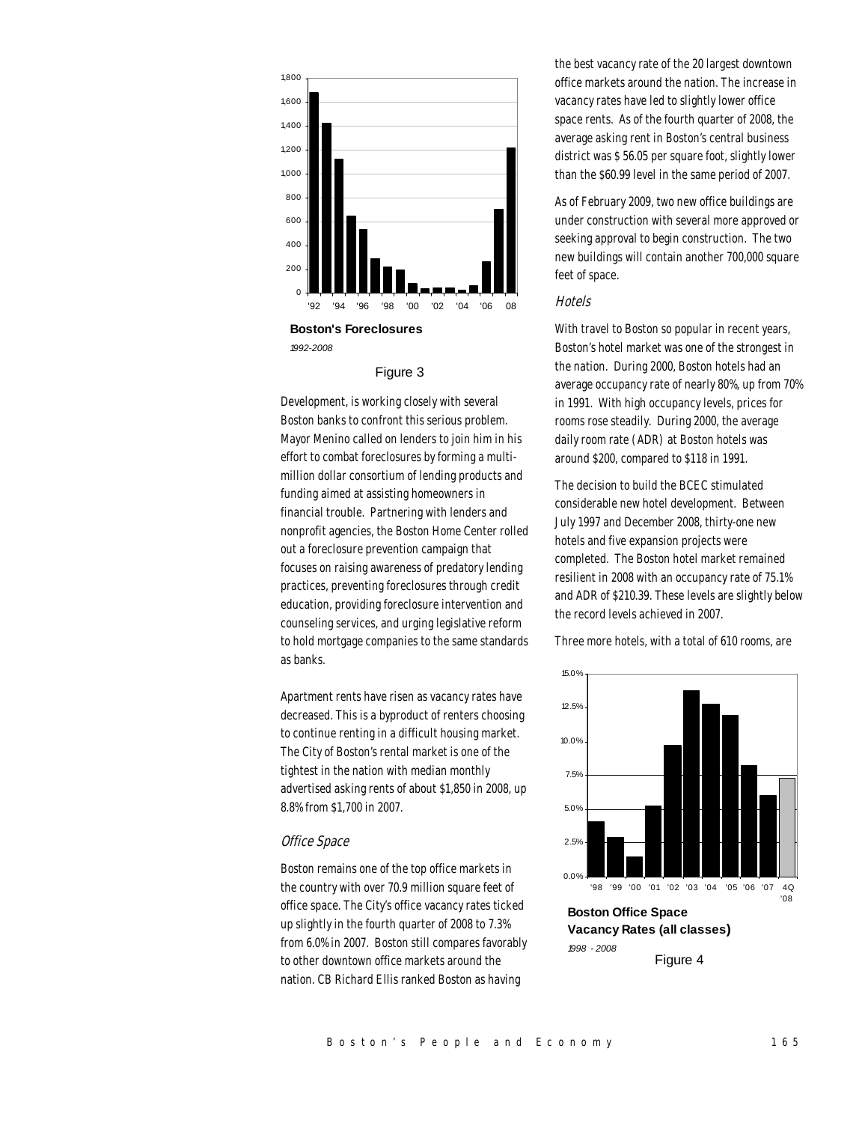

**Boston's Foreclosures** *1992-2008*

#### Figure 3

Development, is working closely with several Boston banks to confront this serious problem. Mayor Menino called on lenders to join him in his effort to combat foreclosures by forming a multimillion dollar consortium of lending products and funding aimed at assisting homeowners in financial trouble. Partnering with lenders and nonprofit agencies, the Boston Home Center rolled out a foreclosure prevention campaign that focuses on raising awareness of predatory lending practices, preventing foreclosures through credit education, providing foreclosure intervention and counseling services, and urging legislative reform to hold mortgage companies to the same standards as banks.

Apartment rents have risen as vacancy rates have decreased. This is a byproduct of renters choosing to continue renting in a difficult housing market. The City of Boston's rental market is one of the tightest in the nation with median monthly advertised asking rents of about \$1,850 in 2008, up 8.8% from \$1,700 in 2007.

#### Office Space

Boston remains one of the top office markets in the country with over 70.9 million square feet of office space. The City's office vacancy rates ticked up slightly in the fourth quarter of 2008 to 7.3% from 6.0% in 2007. Boston still compares favorably to other downtown office markets around the nation. CB Richard Ellis ranked Boston as having

the best vacancy rate of the 20 largest downtown office markets around the nation. The increase in vacancy rates have led to slightly lower office space rents. As of the fourth quarter of 2008, the average asking rent in Boston's central business district was \$ 56.05 per square foot, slightly lower than the \$60.99 level in the same period of 2007.

As of February 2009, two new office buildings are under construction with several more approved or seeking approval to begin construction. The two new buildings will contain another 700,000 square feet of space.

#### **Hotels**

With travel to Boston so popular in recent years, Boston's hotel market was one of the strongest in the nation. During 2000, Boston hotels had an average occupancy rate of nearly 80%, up from 70% in 1991. With high occupancy levels, prices for rooms rose steadily. During 2000, the average daily room rate (ADR) at Boston hotels was around \$200, compared to \$118 in 1991.

The decision to build the BCEC stimulated considerable new hotel development. Between July 1997 and December 2008, thirty-one new hotels and five expansion projects were completed. The Boston hotel market remained resilient in 2008 with an occupancy rate of 75.1% and ADR of \$210.39. These levels are slightly below the record levels achieved in 2007.

Three more hotels, with a total of 610 rooms, are